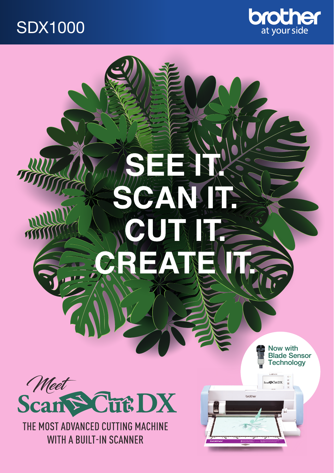## SDX1000